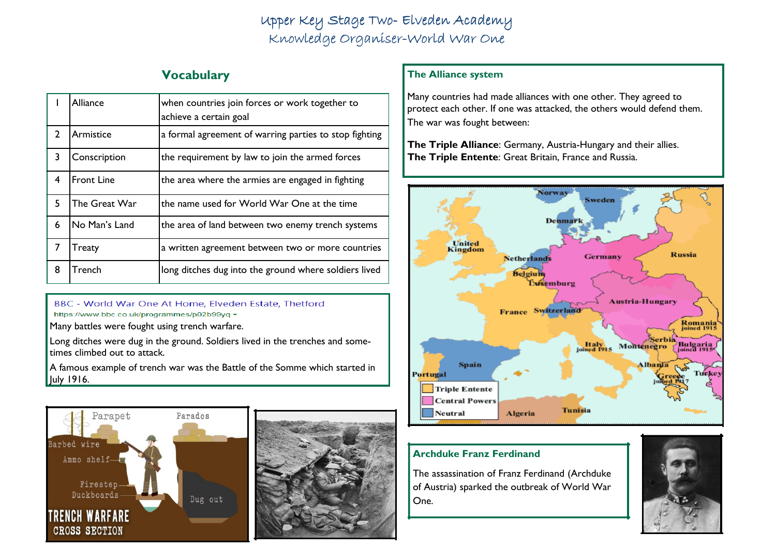# Upper Key Stage Two- Elveden Academy Knowledge Organiser-World War One

## Vocabulary

|                | Alliance          | when countries join forces or work together to<br>achieve a certain goal |
|----------------|-------------------|--------------------------------------------------------------------------|
| $\overline{2}$ | Armistice         | a formal agreement of warring parties to stop fighting                   |
| 3              | Conscription      | the requirement by law to join the armed forces                          |
| 4              | <b>Front Line</b> | the area where the armies are engaged in fighting                        |
| 5              | The Great War     | the name used for World War One at the time                              |
| 6              | No Man's Land     | the area of land between two enemy trench systems                        |
| 7              | Treaty            | a written agreement between two or more countries                        |
| 8              | Trench            | long ditches dug into the ground where soldiers lived                    |

BBC - World War One At Home, Elveden Estate, Thetford https://www.bbc.co.uk/programmes/p02b99yq +

Many battles were fought using trench warfare.

Long ditches were dug in the ground. Soldiers lived in the trenches and sometimes climbed out to attack.

A famous example of trench war was the Battle of the Somme which started in July 1916.





## The Alliance system

Many countries had made alliances with one other. They agreed to protect each other. If one was attacked, the others would defend them. The war was fought between:

The Triple Alliance: Germany, Austria-Hungary and their allies. The Triple Entente: Great Britain, France and Russia.



### Archduke Franz Ferdinand

The assassination of Franz Ferdinand (Archduke of Austria) sparked the outbreak of World War One.